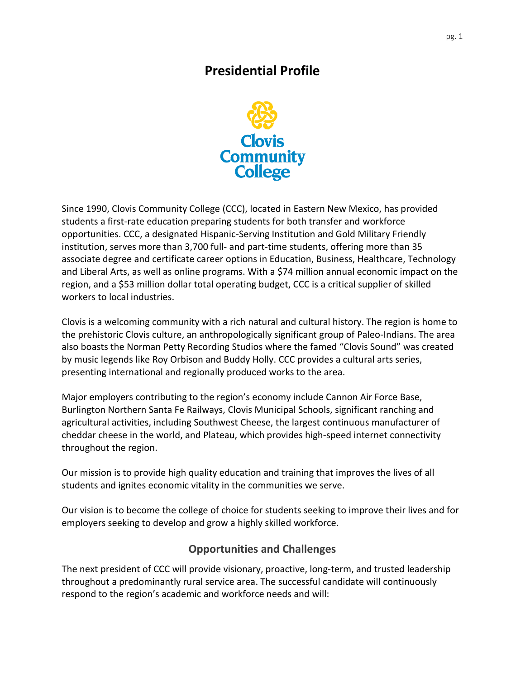## **Presidential Profile**



Since 1990, Clovis Community College (CCC), located in Eastern New Mexico, has provided students a first-rate education preparing students for both transfer and workforce opportunities. CCC, a designated Hispanic-Serving Institution and Gold Military Friendly institution, serves more than 3,700 full- and part-time students, offering more than 35 associate degree and certificate career options in Education, Business, Healthcare, Technology and Liberal Arts, as well as online programs. With a \$74 million annual economic impact on the region, and a \$53 million dollar total operating budget, CCC is a critical supplier of skilled workers to local industries.

Clovis is a welcoming community with a rich natural and cultural history. The region is home to the prehistoric [Clovis culture,](https://en.wikipedia.org/wiki/Clovis_culture) an anthropologically significant group of Paleo-Indians. The area also boasts the Norman Petty Recording Studios where the famed "Clovis Sound" was created by music legends like Roy Orbison and Buddy Holly. CCC provides a cultural arts series, presenting international and regionally produced works to the area.

Major employers contributing to the region's economy include Cannon Air Force Base, Burlington Northern Santa Fe Railways, Clovis Municipal Schools, significant ranching and agricultural activities, including Southwest Cheese, the largest continuous manufacturer of cheddar cheese in the world, and Plateau, which provides high-speed internet connectivity throughout the region.

Our mission is to provide high quality education and training that improves the lives of all students and ignites economic vitality in the communities we serve.

Our vision is to become the college of choice for students seeking to improve their lives and for employers seeking to develop and grow a highly skilled workforce.

## **Opportunities and Challenges**

The next president of CCC will provide visionary, proactive, long-term, and trusted leadership throughout a predominantly rural service area. The successful candidate will continuously respond to the region's academic and workforce needs and will: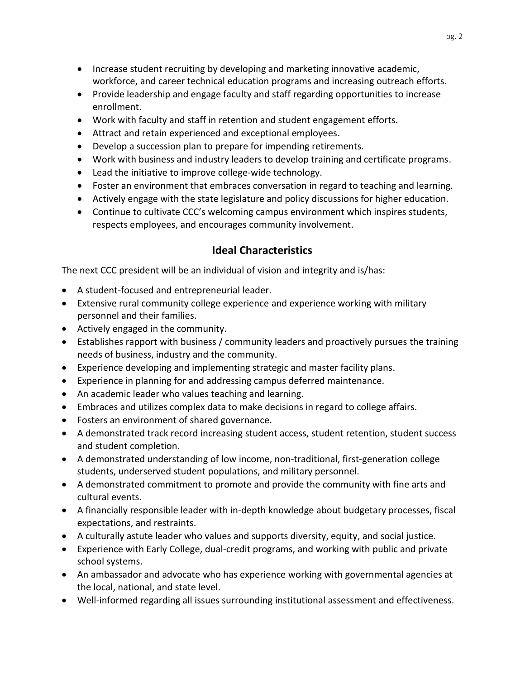- Increase student recruiting by developing and marketing innovative academic, workforce, and career technical education programs and increasing outreach efforts.
- Provide leadership and engage faculty and staff regarding opportunities to increase enrollment.
- Work with faculty and staff in retention and student engagement efforts.
- Attract and retain experienced and exceptional employees.
- Develop a succession plan to prepare for impending retirements.
- Work with business and industry leaders to develop training and certificate programs.
- Lead the initiative to improve college-wide technology.
- Foster an environment that embraces conversation in regard to teaching and learning.
- Actively engage with the state legislature and policy discussions for higher education.
- Continue to cultivate CCC's welcoming campus environment which inspires students, respects employees, and encourages community involvement.

## **Ideal Characteristics**

The next CCC president will be an individual of vision and integrity and is/has:

- A student-focused and entrepreneurial leader.
- Extensive rural community college experience and experience working with military personnel and their families.
- Actively engaged in the community.
- Establishes rapport with business / community leaders and proactively pursues the training needs of business, industry and the community.
- Experience developing and implementing strategic and master facility plans.
- Experience in planning for and addressing campus deferred maintenance.
- An academic leader who values teaching and learning.
- Embraces and utilizes complex data to make decisions in regard to college affairs.
- Fosters an environment of shared governance.
- A demonstrated track record increasing student access, student retention, student success and student completion.
- A demonstrated understanding of low income, non-traditional, first-generation college students, underserved student populations, and military personnel.
- A demonstrated commitment to promote and provide the community with fine arts and cultural events.
- A financially responsible leader with in-depth knowledge about budgetary processes, fiscal expectations, and restraints.
- A culturally astute leader who values and supports diversity, equity, and social justice.
- Experience with Early College, dual-credit programs, and working with public and private school systems.
- An ambassador and advocate who has experience working with governmental agencies at the local, national, and state level.
- Well-informed regarding all issues surrounding institutional assessment and effectiveness.